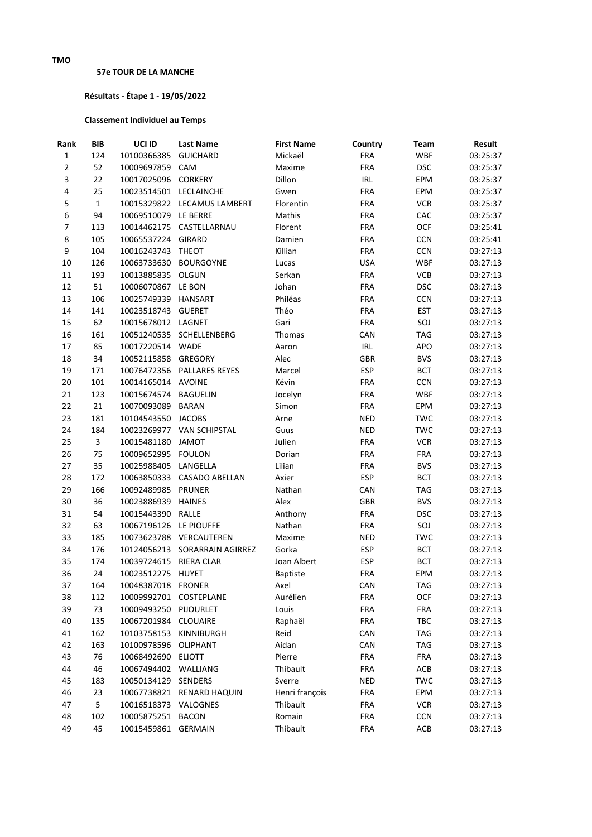## **57e TOUR DE LA MANCHE**

## **Résultats - Étape 1 - 19/05/2022**

## **Classement Individuel au Temps**

| Rank           | <b>BIB</b>   | UCI ID                 | <b>Last Name</b>              | <b>First Name</b> | Country    | Team       | Result   |
|----------------|--------------|------------------------|-------------------------------|-------------------|------------|------------|----------|
| $\mathbf 1$    | 124          | 10100366385            | <b>GUICHARD</b>               | Mickaël           | <b>FRA</b> | <b>WBF</b> | 03:25:37 |
| $\overline{2}$ | 52           | 10009697859            | CAM                           | Maxime            | <b>FRA</b> | <b>DSC</b> | 03:25:37 |
| 3              | 22           | 10017025096 CORKERY    |                               | Dillon            | <b>IRL</b> | EPM        | 03:25:37 |
| 4              | 25           | 10023514501 LECLAINCHE |                               | Gwen              | <b>FRA</b> | EPM        | 03:25:37 |
| 5              | $\mathbf{1}$ |                        | 10015329822 LECAMUS LAMBERT   | Florentin         | <b>FRA</b> | <b>VCR</b> | 03:25:37 |
| 6              | 94           | 10069510079 LE BERRE   |                               | Mathis            | <b>FRA</b> | CAC        | 03:25:37 |
| 7              | 113          |                        | 10014462175 CASTELLARNAU      | Florent           | <b>FRA</b> | OCF        | 03:25:41 |
| 8              | 105          | 10065537224 GIRARD     |                               | Damien            | <b>FRA</b> | <b>CCN</b> | 03:25:41 |
| 9              | 104          | 10016243743            | <b>THEOT</b>                  | Killian           | <b>FRA</b> | <b>CCN</b> | 03:27:13 |
| 10             | 126          | 10063733630            | <b>BOURGOYNE</b>              | Lucas             | <b>USA</b> | <b>WBF</b> | 03:27:13 |
| 11             | 193          | 10013885835 OLGUN      |                               | Serkan            | <b>FRA</b> | VCB        | 03:27:13 |
| 12             | 51           | 10006070867            | LE BON                        | Johan             | <b>FRA</b> | <b>DSC</b> | 03:27:13 |
| 13             | 106          | 10025749339 HANSART    |                               | Philéas           | <b>FRA</b> | <b>CCN</b> | 03:27:13 |
| 14             | 141          | 10023518743 GUERET     |                               | Théo              | <b>FRA</b> | <b>EST</b> | 03:27:13 |
| 15             | 62           | 10015678012 LAGNET     |                               | Gari              | <b>FRA</b> | SOJ        | 03:27:13 |
| 16             | 161          |                        | 10051240535 SCHELLENBERG      | Thomas            | CAN        | <b>TAG</b> | 03:27:13 |
| 17             | 85           | 10017220514 WADE       |                               | Aaron             | IRL        | APO        | 03:27:13 |
| 18             | 34           | 10052115858 GREGORY    |                               | Alec              | GBR        | <b>BVS</b> | 03:27:13 |
| 19             | 171          |                        | 10076472356 PALLARES REYES    | Marcel            | <b>ESP</b> | <b>BCT</b> | 03:27:13 |
| 20             | 101          | 10014165014 AVOINE     |                               | Kévin             | <b>FRA</b> | <b>CCN</b> | 03:27:13 |
| 21             | 123          | 10015674574 BAGUELIN   |                               | Jocelyn           | <b>FRA</b> | <b>WBF</b> | 03:27:13 |
| 22             | 21           | 10070093089            | <b>BARAN</b>                  | Simon             | <b>FRA</b> | EPM        | 03:27:13 |
| 23             | 181          | 10104543550 JACOBS     |                               | Arne              | <b>NED</b> | <b>TWC</b> | 03:27:13 |
| 24             | 184          |                        | 10023269977 VAN SCHIPSTAL     | Guus              | <b>NED</b> | <b>TWC</b> | 03:27:13 |
| 25             | 3            | 10015481180            | <b>JAMOT</b>                  | Julien            | <b>FRA</b> | <b>VCR</b> | 03:27:13 |
| 26             | 75           | 10009652995 FOULON     |                               | Dorian            | <b>FRA</b> | <b>FRA</b> | 03:27:13 |
| 27             | 35           | 10025988405 LANGELLA   |                               | Lilian            | <b>FRA</b> | <b>BVS</b> | 03:27:13 |
| 28             | 172          |                        | 10063850333 CASADO ABELLAN    | Axier             | <b>ESP</b> | <b>BCT</b> | 03:27:13 |
| 29             | 166          | 10092489985            | <b>PRUNER</b>                 | Nathan            | CAN        | <b>TAG</b> | 03:27:13 |
| 30             | 36           | 10023886939            | <b>HAINES</b>                 | Alex              | GBR        | <b>BVS</b> | 03:27:13 |
| 31             | 54           | 10015443390            | <b>RALLE</b>                  | Anthony           | <b>FRA</b> | <b>DSC</b> | 03:27:13 |
| 32             | 63           | 10067196126 LE PIOUFFE |                               | Nathan            | <b>FRA</b> | SOJ        | 03:27:13 |
| 33             | 185          |                        | 10073623788 VERCAUTEREN       | Maxime            | <b>NED</b> | <b>TWC</b> | 03:27:13 |
| 34             | 176          |                        | 10124056213 SORARRAIN AGIRREZ | Gorka             | <b>ESP</b> | <b>BCT</b> | 03:27:13 |
| 35             | 174          | 10039724615            | <b>RIERA CLAR</b>             | Joan Albert       | <b>ESP</b> | <b>BCT</b> | 03:27:13 |
| 36             | 24           | 10023512275 HUYET      |                               | <b>Baptiste</b>   | <b>FRA</b> | EPM        | 03:27:13 |
| 37             | 164          | 10048387018 FRONER     |                               | Axel              | CAN        | TAG        | 03:27:13 |
| 38             | 112          | 10009992701 COSTEPLANE |                               | Aurélien          | <b>FRA</b> | OCF        | 03:27:13 |
| 39             | 73           | 10009493250 PIJOURLET  |                               | Louis             | FRA        | FRA        | 03:27:13 |
| 40             | 135          | 10067201984 CLOUAIRE   |                               | Raphaël           | FRA        | TBC        | 03:27:13 |
| 41             | 162          | 10103758153 KINNIBURGH |                               | Reid              | CAN        | <b>TAG</b> | 03:27:13 |
| 42             | 163          | 10100978596 OLIPHANT   |                               | Aidan             | CAN        | <b>TAG</b> | 03:27:13 |
| 43             | 76           | 10068492690 ELIOTT     |                               | Pierre            | <b>FRA</b> | <b>FRA</b> | 03:27:13 |
| 44             | 46           | 10067494402 WALLIANG   |                               | Thibault          | <b>FRA</b> | ACB        | 03:27:13 |
| 45             | 183          | 10050134129 SENDERS    |                               | Sverre            | <b>NED</b> | TWC        | 03:27:13 |
| 46             | 23           |                        | 10067738821 RENARD HAQUIN     | Henri françois    | <b>FRA</b> | EPM        | 03:27:13 |
| 47             | 5            | 10016518373 VALOGNES   |                               | Thibault          | <b>FRA</b> | <b>VCR</b> | 03:27:13 |
| 48             | 102          | 10005875251 BACON      |                               | Romain            | <b>FRA</b> | <b>CCN</b> | 03:27:13 |
| 49             | 45           | 10015459861 GERMAIN    |                               | Thibault          | <b>FRA</b> | ACB        | 03:27:13 |
|                |              |                        |                               |                   |            |            |          |